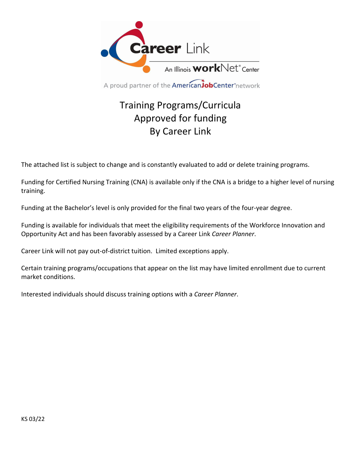

A proud partner of the **American Job Center** network

# Training Programs/Curricula Approved for funding By Career Link

The attached list is subject to change and is constantly evaluated to add or delete training programs.

Funding for Certified Nursing Training (CNA) is available only if the CNA is a bridge to a higher level of nursing training.

Funding at the Bachelor's level is only provided for the final two years of the four-year degree.

Funding is available for individuals that meet the eligibility requirements of the Workforce Innovation and Opportunity Act and has been favorably assessed by a Career Link *Career Planner*.

Career Link will not pay out-of-district tuition. Limited exceptions apply.

Certain training programs/occupations that appear on the list may have limited enrollment due to current market conditions.

Interested individuals should discuss training options with a *Career Planner*.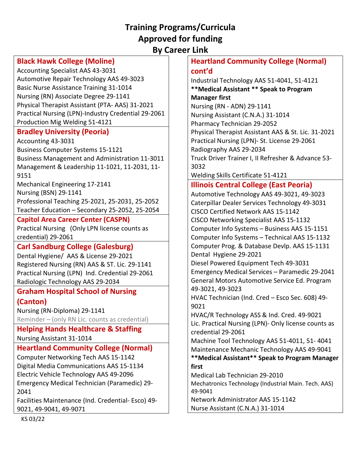## **Training Programs/Curricula Approved for funding By Career Link**

## **Black Hawk College (Moline)**

Accounting Specialist AAS 43-3031 Automotive Repair Technology AAS 49-3023 Basic Nurse Assistance Training 31-1014 Nursing (RN) Associate Degree 29-1141 Physical Therapist Assistant (PTA- AAS) 31-2021 Practical Nursing (LPN)-Industry Credential 29-2061 Production Mig Welding 51-4121

#### **Bradley University (Peoria)**

Accounting 43-3031 Business Computer Systems 15-1121 Business Management and Administration 11-3011 Management & Leadership 11-1021, 11-2031, 11- 9151 Mechanical Engineering 17-2141

Nursing (BSN) 29-1141 Professional Teaching 25-2021, 25-2031, 25-2052 Teacher Education – Secondary 25-2052, 25-2054

#### **Capitol Area Career Center (CASPN)**

Practical Nursing (Only LPN license counts as credential) 29-2061

## **Carl Sandburg College (Galesburg)**

Dental Hygiene/ AAS & License 29-2021 Registered Nursing (RN) AAS & ST. Lic. 29-1141 Practical Nursing (LPN) Ind. Credential 29-2061 Radiologic Technology AAS 29-2034

#### **Graham Hospital School of Nursing (Canton)**

Nursing (RN-Diploma) 29-1141

Reminder – (only RN Lic. counts as credential)

**Helping Hands Healthcare & Staffing** Nursing Assistant 31-1014

# **Heartland Community College (Normal)**

Computer Networking Tech AAS 15-1142 Digital Media Communications AAS 15-1134 Electric Vehicle Technology AAS 49-2096 Emergency Medical Technician (Paramedic) 29- 2041

Facilities Maintenance (Ind. Credential- Esco) 49- 9021, 49-9041, 49-9071

**Heartland Community College (Normal) cont'd**

Industrial Technology AAS 51-4041, 51-4121 **\*\*Medical Assistant \*\* Speak to Program Manager first** Nursing (RN - ADN) 29-1141 Nursing Assistant (C.N.A.) 31-1014 Pharmacy Technician 29-2052 Physical Therapist Assistant AAS & St. Lic. 31-2021 Practical Nursing (LPN)- St. License 29-2061 Radiography AAS 29-2034 Truck Driver Trainer I, II Refresher & Advance 53- 3032

Welding Skills Certificate 51-4121

### **Illinois Central College (East Peoria)**

Automotive Technology AAS 49-3021, 49-3023 Caterpillar Dealer Services Technology 49-3031 CISCO Certified Network AAS 15-1142 CISCO Networking Specialist AAS 15-1132 Computer Info Systems – Business AAS 15-1151 Computer Info Systems – Technical AAS 15-1132 Computer Prog. & Database Devlp. AAS 15-1131 Dental Hygiene 29-2021 Diesel Powered Equipment Tech 49-3031 Emergency Medical Services – Paramedic 29-2041 General Motors Automotive Service Ed. Program 49-3021, 49-3023

HVAC Technician (Ind. Cred – Esco Sec. 608) 49- 9021

HVAC/R Technology ASS & Ind. Cred. 49-9021 Lic. Practical Nursing (LPN)- Only license counts as credential 29-2061

Machine Tool Technology AAS 51-4011, 51- 4041 Maintenance Mechanic Technology AAS 49-9041

**\*\*Medical Assistant\*\* Speak to Program Manager first**

Medical Lab Technician 29-2010

Mechatronics Technology (Industrial Main. Tech. AAS) 49-9041

Network Administrator AAS 15-1142 Nurse Assistant (C.N.A.) 31-1014

KS 03/22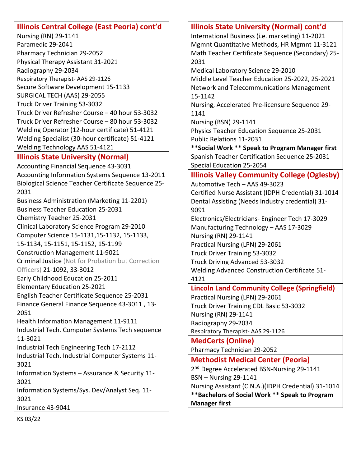## **Illinois Central College (East Peoria) cont'd**

Nursing (RN) 29-1141 Paramedic 29-2041 Pharmacy Technician 29-2052 Physical Therapy Assistant 31-2021 Radiography 29-2034 Respiratory Therapist- AAS 29-1126 Secure Software Development 15-1133 SURGICAL TECH (AAS) 29-2055 Truck Driver Training 53-3032 Truck Driver Refresher Course – 40 hour 53-3032 Truck Driver Refresher Course – 80 hour 53-3032 Welding Operator (12-hour certificate) 51-4121 Welding Specialist (30-hour certificate) 51-4121 Welding Technology AAS 51-4121

#### **Illinois State University (Normal)**

Accounting Financial Sequence 43-3031 Accounting Information Systems Sequence 13-2011 Biological Science Teacher Certificate Sequence 25- 2031 Business Administration (Marketing 11-2201) Business Teacher Education 25-2031 Chemistry Teacher 25-2031 Clinical Laboratory Science Program 29-2010 Computer Science 15-1131,15-1132, 15-1133, 15-1134, 15-1151, 15-1152, 15-1199 Construction Management 11-9021 Criminal Justice (Not for Probation but Correction Officers) 21-1092, 33-3012 Early Childhood Education 25-2011 Elementary Education 25-2021 English Teacher Certificate Sequence 25-2031 Finance General Finance Sequence 43-3011 , 13- 2051 Health Information Management 11-9111 Industrial Tech. Computer Systems Tech sequence 11-3021 Industrial Tech Engineering Tech 17-2112 Industrial Tech. Industrial Computer Systems 11- 3021 Information Systems – Assurance & Security 11- 3021 Information Systems/Sys. Dev/Analyst Seq. 11- 3021 Insurance 43-9041

#### **Illinois State University (Normal) cont'd**

International Business (i.e. marketing) 11-2021 Mgmnt Quantitative Methods, HR Mgmnt 11-3121 Math Teacher Certificate Sequence (Secondary) 25- 2031

Medical Laboratory Science 29-2010

Middle Level Teacher Education 25-2022, 25-2021 Network and Telecommunications Management 15-1142

Nursing, Accelerated Pre-licensure Sequence 29- 1141

Nursing (BSN) 29-1141

Physics Teacher Education Sequence 25-2031 Public Relations 11-2031

**\*\*Social Work \*\* Speak to Program Manager first** Spanish Teacher Certification Sequence 25-2031 Special Education 25-2054

## **Illinois Valley Community College (Oglesby)**

Automotive Tech – AAS 49-3023 Certified Nurse Assistant (IDPH Credential) 31-1014 Dental Assisting (Needs Industry credential) 31- 9091

Electronics/Electricians- Engineer Tech 17-3029 Manufacturing Technology – AAS 17-3029 Nursing (RN) 29-1141 Practical Nursing (LPN) 29-2061 Truck Driver Training 53-3032 Truck Driving Advanced 53-3032 Welding Advanced Construction Certificate 51- 4121

#### **Lincoln Land Community College (Springfield)**

Practical Nursing (LPN) 29-2061 Truck Driver Training CDL Basic 53-3032 Nursing (RN) 29-1141 Radiography 29-2034 Respiratory Therapist- AAS 29-1126

#### **MedCerts (Online)**

Pharmacy Technician 29-2052

**Methodist Medical Center (Peoria)**

2<sup>nd</sup> Degree Accelerated BSN-Nursing 29-1141 BSN – Nursing 29-1141 Nursing Assistant (C.N.A.)(IDPH Credential) 31-1014 **\*\*Bachelors of Social Work \*\* Speak to Program Manager first**

KS 03/22